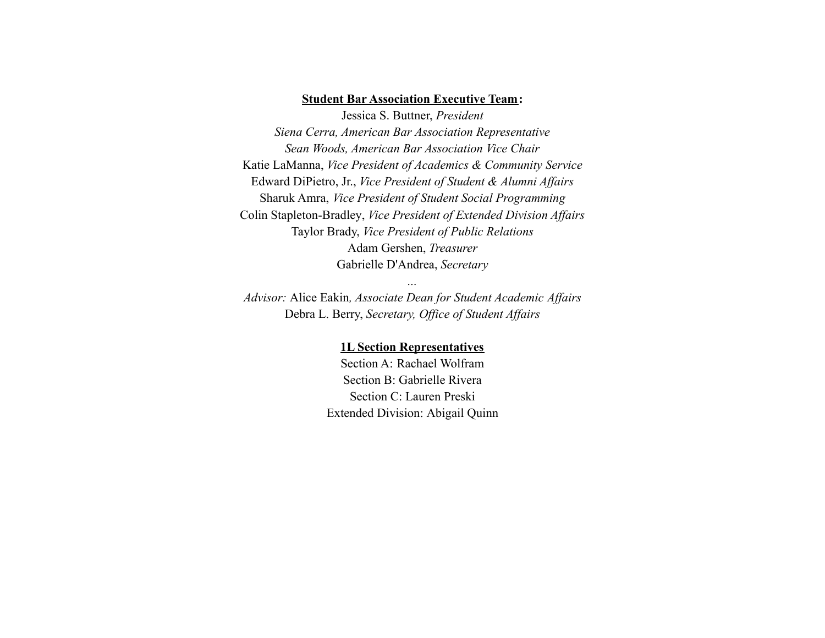## **Student Bar Association Executive Team:**

Jessica S. Buttner, *President Siena Cerra, American Bar Association Representative Sean Woods, American Bar Association Vice Chair* Katie LaManna, *Vice President of Academics & Community Service* Edward DiPietro, Jr., *Vice President of Student & Alumni Affairs* Sharuk Amra, *Vice President of Student Social Programming* Colin Stapleton-Bradley, *Vice President of Extended Division Affairs* Taylor Brady, *Vice President of Public Relations* Adam Gershen, *Treasurer* Gabrielle D'Andrea, *Secretary*

*Advisor:* Alice Eakin*, Associate Dean for Student Academic Affairs* Debra L. Berry, *Secretary, Office of Student Affairs*

*...*

## **1L Section Representatives**

Section A: Rachael Wolfram Section B: Gabrielle Rivera Section C: Lauren Preski Extended Division: Abigail Quinn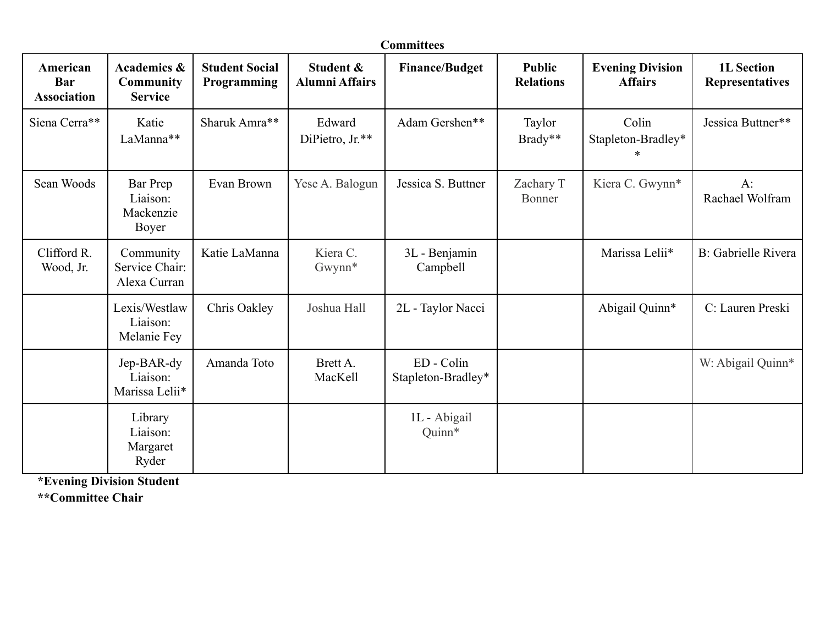| <b>Committees</b>                     |                                                              |                                      |                                    |                                  |                                   |                                           |                                             |  |  |  |  |  |  |
|---------------------------------------|--------------------------------------------------------------|--------------------------------------|------------------------------------|----------------------------------|-----------------------------------|-------------------------------------------|---------------------------------------------|--|--|--|--|--|--|
| American<br>Bar<br><b>Association</b> | <b>Academics &amp;</b><br><b>Community</b><br><b>Service</b> | <b>Student Social</b><br>Programming | Student &<br><b>Alumni Affairs</b> | <b>Finance/Budget</b>            | <b>Public</b><br><b>Relations</b> | <b>Evening Division</b><br><b>Affairs</b> | <b>1L</b> Section<br><b>Representatives</b> |  |  |  |  |  |  |
| Siena Cerra**                         | Katie<br>LaManna**                                           | Sharuk Amra**                        | Edward<br>DiPietro, Jr.**          | Adam Gershen**                   | Taylor<br>Brady**                 | Colin<br>Stapleton-Bradley*               | Jessica Buttner**                           |  |  |  |  |  |  |
| Sean Woods                            | Bar Prep<br>Liaison:<br>Mackenzie<br>Boyer                   | Evan Brown                           | Yese A. Balogun                    | Jessica S. Buttner               | Zachary T<br>Bonner               | Kiera C. Gwynn*                           | $A$ :<br>Rachael Wolfram                    |  |  |  |  |  |  |
| Clifford R.<br>Wood, Jr.              | Community<br>Service Chair:<br>Alexa Curran                  | Katie LaManna                        | Kiera C.<br>Gwynn*                 | 3L - Benjamin<br>Campbell        |                                   | Marissa Lelii*                            | <b>B</b> : Gabrielle Rivera                 |  |  |  |  |  |  |
|                                       | Lexis/Westlaw<br>Liaison:<br>Melanie Fey                     | Chris Oakley                         | Joshua Hall                        | 2L - Taylor Nacci                |                                   | Abigail Quinn*                            | C: Lauren Preski                            |  |  |  |  |  |  |
|                                       | Jep-BAR-dy<br>Liaison:<br>Marissa Lelii*                     | Amanda Toto                          | Brett A.<br>MacKell                | ED - Colin<br>Stapleton-Bradley* |                                   |                                           | W: Abigail Quinn*                           |  |  |  |  |  |  |
|                                       | Library<br>Liaison:<br>Margaret<br>Ryder                     |                                      |                                    | 1L - Abigail<br>Quinn*           |                                   |                                           |                                             |  |  |  |  |  |  |

**\*Evening Division Student**

**\*\*Committee Chair**